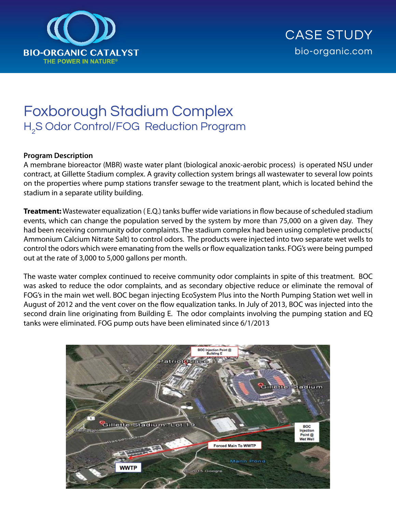

# Foxborough Stadium Complex H2 S Odor Control/FOG Reduction Program

### **Program Description**

A membrane bioreactor (MBR) waste water plant (biological anoxic-aerobic process) is operated NSU under contract, at Gillette Stadium complex. A gravity collection system brings all wastewater to several low points on the properties where pump stations transfer sewage to the treatment plant, which is located behind the stadium in a separate utility building.

**Treatment:** Wastewater equalization ( E.Q.) tanks buffer wide variations in flow because of scheduled stadium events, which can change the population served by the system by more than 75,000 on a given day. They had been receiving community odor complaints. The stadium complex had been using completive products( Ammonium Calcium Nitrate Salt) to control odors. The products were injected into two separate wet wells to control the odors which were emanating from the wells or flow equalization tanks. FOG's were being pumped out at the rate of 3,000 to 5,000 gallons per month.

The waste water complex continued to receive community odor complaints in spite of this treatment. BOC was asked to reduce the odor complaints, and as secondary objective reduce or eliminate the removal of FOG's in the main wet well. BOC began injecting EcoSystem Plus into the North Pumping Station wet well in August of 2012 and the vent cover on the flow equalization tanks. In July of 2013, BOC was injected into the second drain line originating from Building E. The odor complaints involving the pumping station and EQ tanks were eliminated. FOG pump outs have been eliminated since 6/1/2013